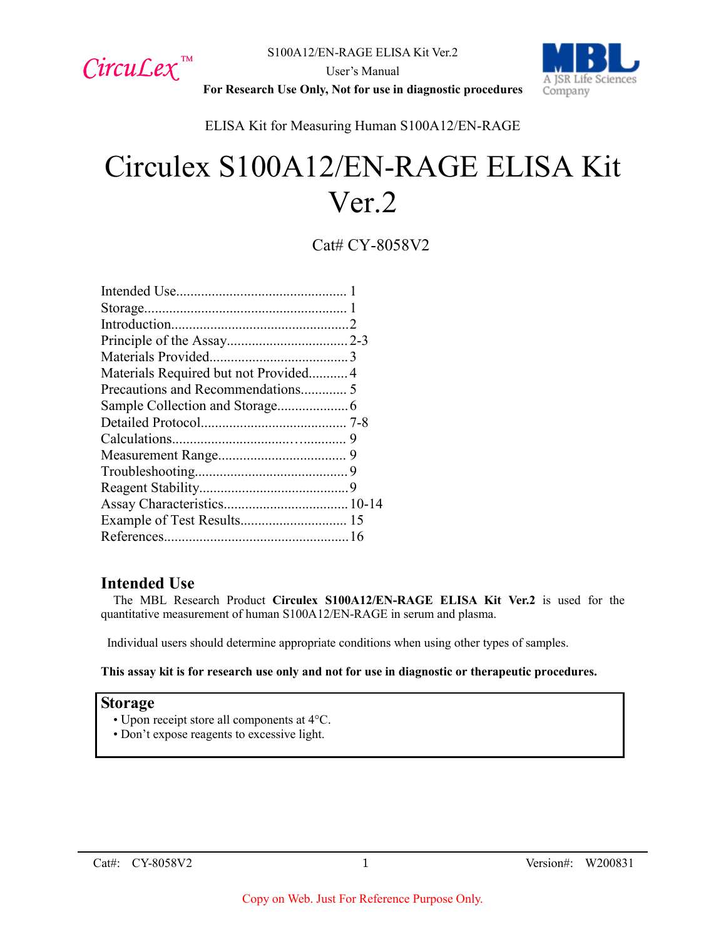



**For Research Use Only, Not for use in diagnostic procedures**

ELISA Kit for Measuring Human S100A12/EN-RAGE

# Circulex S100A12/EN-RAGE ELISA Kit Ver.2

Cat# CY-8058V2

| Materials Required but not Provided4 |  |
|--------------------------------------|--|
|                                      |  |
|                                      |  |
|                                      |  |
|                                      |  |
|                                      |  |
|                                      |  |
|                                      |  |
|                                      |  |
|                                      |  |
|                                      |  |

## **Intended Use**

The MBL Research Product **Circulex S100A12/EN-RAGE ELISA Kit Ver.2** is used for the quantitative measurement of human S100A12/EN-RAGE in serum and plasma.

Individual users should determine appropriate conditions when using other types of samples.

**This assay kit is for research use only and not for use in diagnostic or therapeutic procedures.**

## **Storage**

- Upon receipt store all components at 4°C.
- Don't expose reagents to excessive light.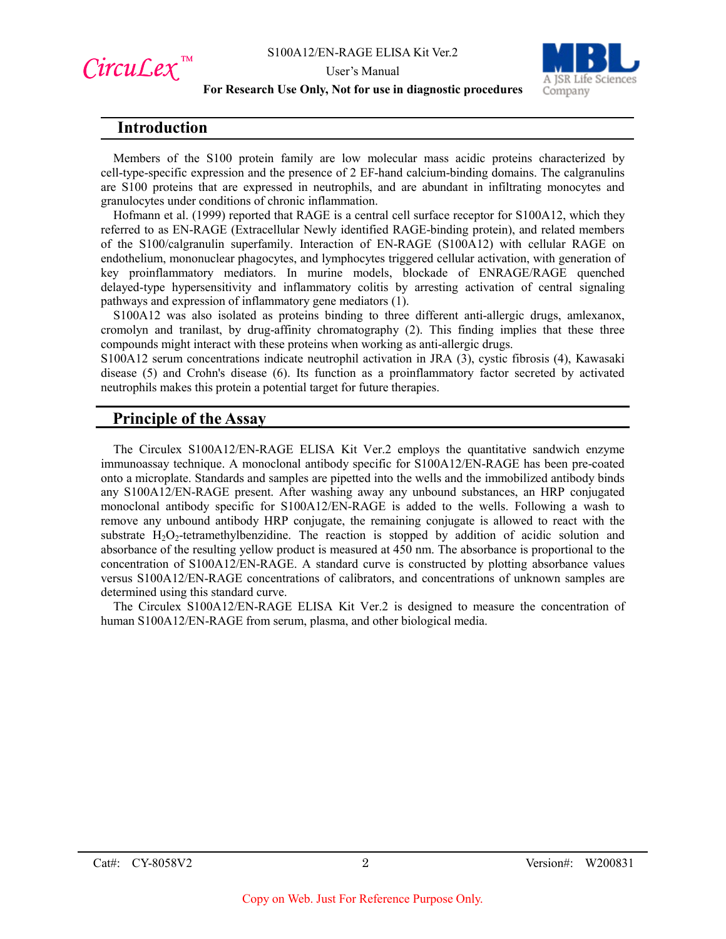



#### **For Research Use Only, Not for use in diagnostic procedures**

## **Introduction**

CircuLex<sup>™</sup>

Members of the S100 protein family are low molecular mass acidic proteins characterized by cell-type-specific expression and the presence of 2 EF-hand calcium-binding domains. The calgranulins are S100 proteins that are expressed in neutrophils, and are abundant in infiltrating monocytes and granulocytes under conditions of chronic inflammation.

Hofmann et al. (1999) reported that RAGE is a central cell surface receptor for S100A12, which they referred to as EN-RAGE (Extracellular Newly identified RAGE-binding protein), and related members of the S100/calgranulin superfamily. Interaction of EN-RAGE (S100A12) with cellular RAGE on endothelium, mononuclear phagocytes, and lymphocytes triggered cellular activation, with generation of key proinflammatory mediators. In murine models, blockade of ENRAGE/RAGE quenched delayed-type hypersensitivity and inflammatory colitis by arresting activation of central signaling pathways and expression of inflammatory gene mediators (1).

S100A12 was also isolated as proteins binding to three different anti-allergic drugs, amlexanox, cromolyn and tranilast, by drug-affinity chromatography (2). This finding implies that these three compounds might interact with these proteins when working as anti-allergic drugs.

S100A12 serum concentrations indicate neutrophil activation in JRA (3), cystic fibrosis (4), Kawasaki disease (5) and Crohn's disease (6). Its function as a proinflammatory factor secreted by activated neutrophils makes this protein a potential target for future therapies.

## **Principle of the Assay**

The Circulex S100A12/EN-RAGE ELISA Kit Ver.2 employs the quantitative sandwich enzyme immunoassay technique. A monoclonal antibody specific for S100A12/EN-RAGE has been pre-coated onto a microplate. Standards and samples are pipetted into the wells and the immobilized antibody binds any S100A12/EN-RAGE present. After washing away any unbound substances, an HRP conjugated monoclonal antibody specific for S100A12/EN-RAGE is added to the wells. Following a wash to remove any unbound antibody HRP conjugate, the remaining conjugate is allowed to react with the substrate  $H_2O_2$ -tetramethylbenzidine. The reaction is stopped by addition of acidic solution and absorbance of the resulting yellow product is measured at 450 nm. The absorbance is proportional to the concentration of S100A12/EN-RAGE. A standard curve is constructed by plotting absorbance values versus S100A12/EN-RAGE concentrations of calibrators, and concentrations of unknown samples are determined using this standard curve.

The Circulex S100A12/EN-RAGE ELISA Kit Ver.2 is designed to measure the concentration of human S100A12/EN-RAGE from serum, plasma, and other biological media.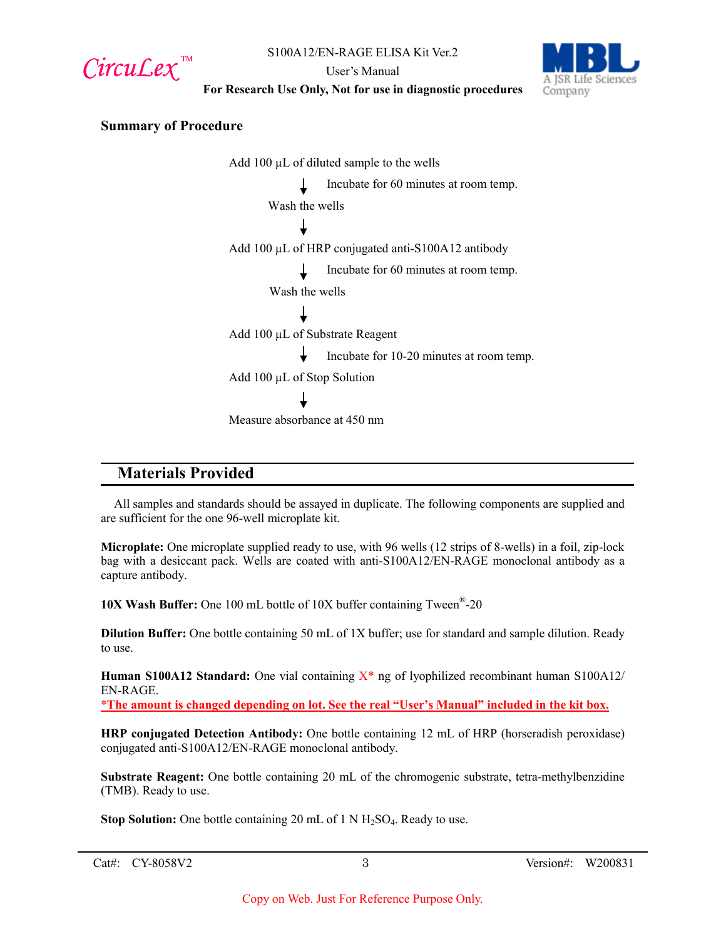

User's Manual



**For Research Use Only, Not for use in diagnostic procedures**

#### **Summary of Procedure**

Add  $100 \mu L$  of diluted sample to the wells Incubate for 60 minutes at room temp. Wash the wells Add 100 µL of HRP conjugated anti-S100A12 antibody Incubate for 60 minutes at room temp. Wash the wells Add 100 µL of Substrate Reagent Incubate for 10-20 minutes at room temp. Add 100 µL of Stop Solution Measure absorbance at 450 nm

## **Materials Provided**

All samples and standards should be assayed in duplicate. The following components are supplied and are sufficient for the one 96-well microplate kit.

**Microplate:** One microplate supplied ready to use, with 96 wells (12 strips of 8-wells) in a foil, zip-lock bag with a desiccant pack. Wells are coated with anti-S100A12/EN-RAGE monoclonal antibody as a capture antibody.

**10X Wash Buffer:** One 100 mL bottle of 10X buffer containing Tween®-20

**Dilution Buffer:** One bottle containing 50 mL of 1X buffer; use for standard and sample dilution. Ready to use.

**Human S100A12 Standard:** One vial containing  $X^*$  ng of lyophilized recombinant human S100A12/ EN-RAGE.

\***The amount is changed depending on lot. See the real "User's Manual" included in the kit box.**

**HRP conjugated Detection Antibody:** One bottle containing 12 mL of HRP (horseradish peroxidase) conjugated anti-S100A12/EN-RAGE monoclonal antibody.

**Substrate Reagent:** One bottle containing 20 mL of the chromogenic substrate, tetra-methylbenzidine (TMB). Ready to use.

**Stop Solution:** One bottle containing 20 mL of 1 N H<sub>2</sub>SO<sub>4</sub>. Ready to use.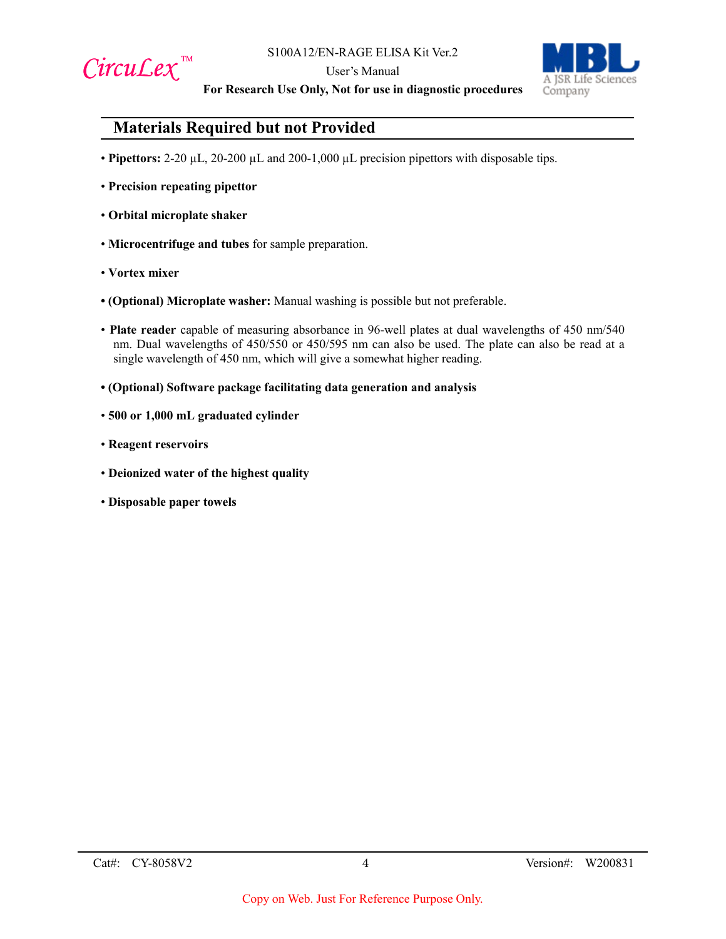

User's Manual



**For Research Use Only, Not for use in diagnostic procedures**

## **Materials Required but not Provided**

- **Pipettors:** 2-20 µL, 20-200 µL and 200-1,000 µL precision pipettors with disposable tips.
- **Precision repeating pipettor**
- **Orbital microplate shaker**
- **Microcentrifuge and tubes** for sample preparation.
- **Vortex mixer**
- **(Optional) Microplate washer:** Manual washing is possible but not preferable.
- **Plate reader** capable of measuring absorbance in 96-well plates at dual wavelengths of 450 nm/540 nm. Dual wavelengths of 450/550 or 450/595 nm can also be used. The plate can also be read at a single wavelength of 450 nm, which will give a somewhat higher reading.
- **(Optional) Software package facilitating data generation and analysis**
- **500 or 1,000 mL graduated cylinder**
- **Reagent reservoirs**
- **Deionized water of the highest quality**
- **Disposable paper towels**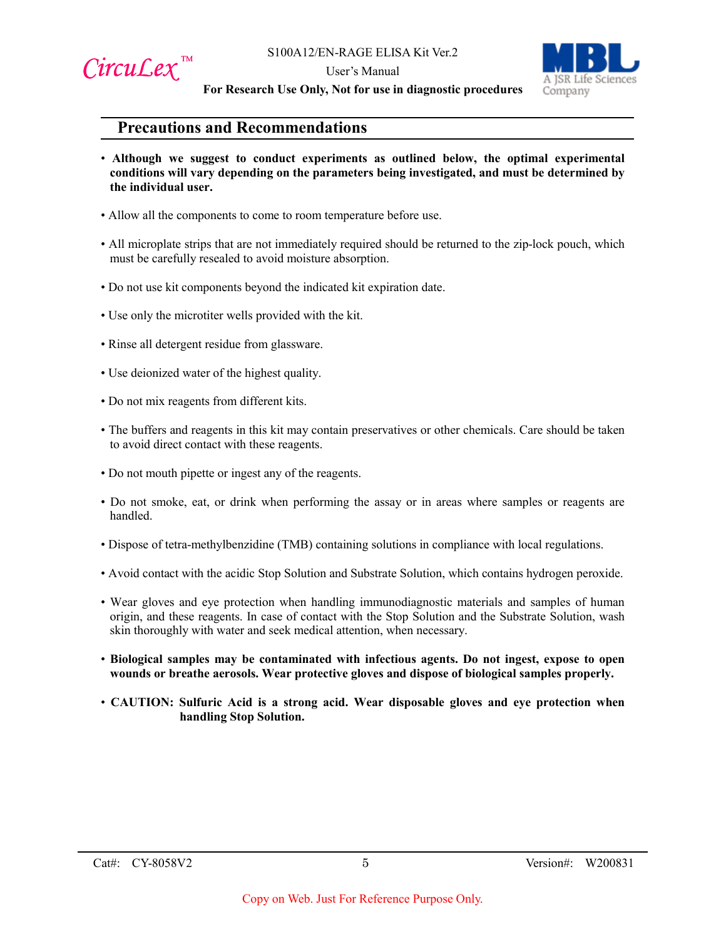



**For Research Use Only, Not for use in diagnostic procedures**

## **Precautions and Recommendations**

- **Although we suggest to conduct experiments as outlined below, the optimal experimental conditions will vary depending on the parameters being investigated, and must be determined by the individual user.**
- Allow all the components to come to room temperature before use.
- All microplate strips that are not immediately required should be returned to the zip-lock pouch, which must be carefully resealed to avoid moisture absorption.
- Do not use kit components beyond the indicated kit expiration date.
- Use only the microtiter wells provided with the kit.
- Rinse all detergent residue from glassware.
- Use deionized water of the highest quality.
- Do not mix reagents from different kits.
- The buffers and reagents in this kit may contain preservatives or other chemicals. Care should be taken to avoid direct contact with these reagents.
- Do not mouth pipette or ingest any of the reagents.
- Do not smoke, eat, or drink when performing the assay or in areas where samples or reagents are handled.
- Dispose of tetra-methylbenzidine (TMB) containing solutions in compliance with local regulations.
- Avoid contact with the acidic Stop Solution and Substrate Solution, which contains hydrogen peroxide.
- Wear gloves and eye protection when handling immunodiagnostic materials and samples of human origin, and these reagents. In case of contact with the Stop Solution and the Substrate Solution, wash skin thoroughly with water and seek medical attention, when necessary.
- **Biological samples may be contaminated with infectious agents. Do not ingest, expose to open wounds or breathe aerosols. Wear protective gloves and dispose of biological samples properly.**
- **CAUTION: Sulfuric Acid is a strong acid. Wear disposable gloves and eye protection when handling Stop Solution.**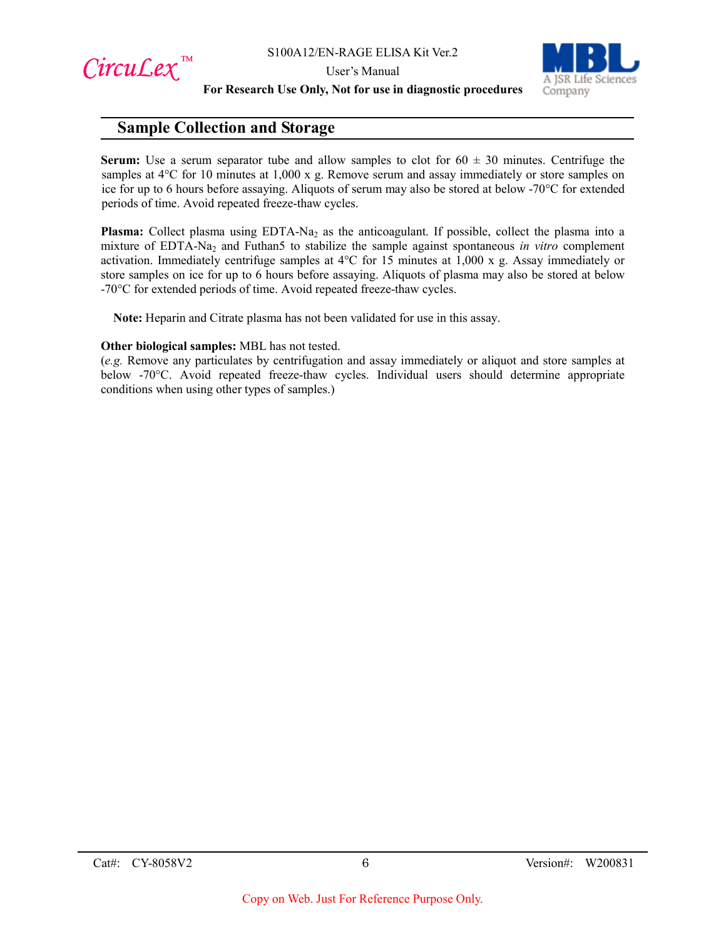CircuLex<sup>™</sup>



**For Research Use Only, Not for use in diagnostic procedures**

## **Sample Collection and Storage**

**Serum:** Use a serum separator tube and allow samples to clot for  $60 \pm 30$  minutes. Centrifuge the samples at 4<sup>o</sup>C for 10 minutes at 1,000 x g. Remove serum and assay immediately or store samples on ice for up to 6 hours before assaying. Aliquots of serum may also be stored at below -70°C for extended periods of time. Avoid repeated freeze-thaw cycles.

**Plasma:** Collect plasma using EDTA-Na<sub>2</sub> as the anticoagulant. If possible, collect the plasma into a mixture of EDTA-Na2 and Futhan5 to stabilize the sample against spontaneous *in vitro* complement activation. Immediately centrifuge samples at 4°C for 15 minutes at 1,000 x g. Assay immediately or store samples on ice for up to 6 hours before assaying. Aliquots of plasma may also be stored at below -70°C for extended periods of time. Avoid repeated freeze-thaw cycles.

**Note:** Heparin and Citrate plasma has not been validated for use in this assay.

#### **Other biological samples:** MBL has not tested.

(*e.g.* Remove any particulates by centrifugation and assay immediately or aliquot and store samples at below -70°C. Avoid repeated freeze-thaw cycles. Individual users should determine appropriate conditions when using other types of samples.)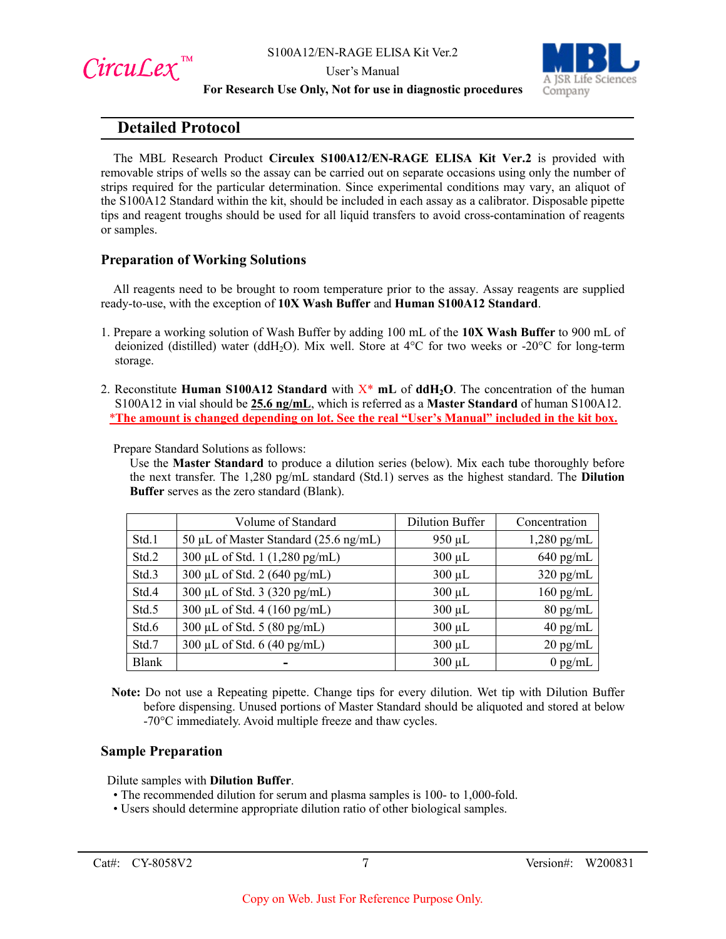

 $Circu$ *Lex*™



#### User's Manual **For Research Use Only, Not for use in diagnostic procedures**

## **Detailed Protocol**

The MBL Research Product **Circulex S100A12/EN-RAGE ELISA Kit Ver.2** is provided with removable strips of wells so the assay can be carried out on separate occasions using only the number of strips required for the particular determination. Since experimental conditions may vary, an aliquot of the S100A12 Standard within the kit, should be included in each assay as a calibrator. Disposable pipette tips and reagent troughs should be used for all liquid transfers to avoid cross-contamination of reagents or samples.

## **Preparation of Working Solutions**

All reagents need to be brought to room temperature prior to the assay. Assay reagents are supplied ready-to-use, with the exception of **10X Wash Buffer** and **Human S100A12 Standard**.

- 1. Prepare a working solution of Wash Buffer by adding 100 mL of the **10X Wash Buffer** to 900 mL of deionized (distilled) water (ddH<sub>2</sub>O). Mix well. Store at 4°C for two weeks or -20°C for long-term storage.
- 2. Reconstitute **Human S100A12 Standard** with X\* **mL** of **ddH2O**. The concentration of the human S100A12 in vial should be **25.6 ng/mL**, which is referred as a **Master Standard** of human S100A12. \***The amount is changed depending on lot. See the real "User's Manual" included in the kit box.**

Prepare Standard Solutions as follows:

Use the **Master Standard** to produce a dilution series (below). Mix each tube thoroughly before the next transfer. The 1,280 pg/mL standard (Std.1) serves as the highest standard. The **Dilution Buffer** serves as the zero standard (Blank).

|              | Volume of Standard                    | <b>Dilution Buffer</b> | Concentration      |
|--------------|---------------------------------------|------------------------|--------------------|
| Std.1        | 50 µL of Master Standard (25.6 ng/mL) | $950 \mu L$            | $1,280$ pg/mL      |
| Std.2        | 300 μL of Std. 1 (1,280 pg/mL)        | $300 \mu L$            | $640$ pg/mL        |
| Std.3        | 300 μL of Std. 2 (640 pg/mL)          | $300 \mu L$            | $320$ pg/mL        |
| Std.4        | 300 μL of Std. 3 (320 pg/mL)          | $300 \mu L$            | $160$ pg/mL        |
| Std.5        | 300 µL of Std. 4 (160 pg/mL)          | $300 \mu L$            | $80$ pg/mL         |
| Std.6        | 300 µL of Std. 5 $(80 \text{ pg/mL})$ | $300 \mu L$            | $40$ pg/mL         |
| Std.7        | 300 μL of Std. 6 (40 pg/mL)           | $300 \mu L$            | $20 \text{ pg/mL}$ |
| <b>Blank</b> |                                       | $300 \mu L$            | $0$ pg/mL          |

**Note:** Do not use a Repeating pipette. Change tips for every dilution. Wet tip with Dilution Buffer before dispensing. Unused portions of Master Standard should be aliquoted and stored at below -70°C immediately. Avoid multiple freeze and thaw cycles.

#### **Sample Preparation**

Dilute samples with **Dilution Buffer**.

- The recommended dilution for serum and plasma samples is 100- to 1,000-fold.
- Users should determine appropriate dilution ratio of other biological samples.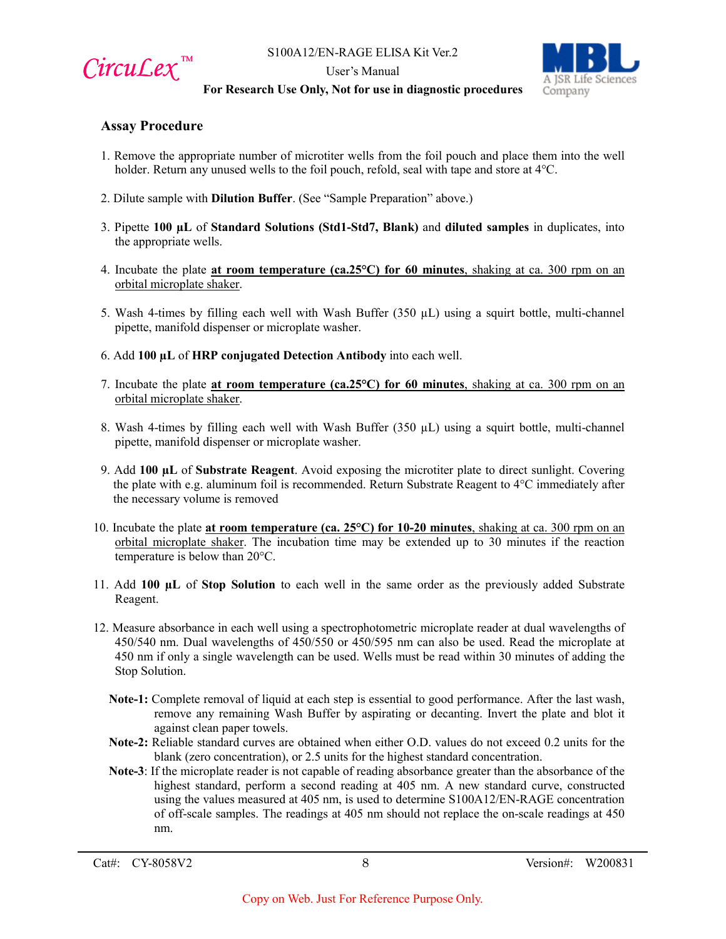

User's Manual



#### **For Research Use Only, Not for use in diagnostic procedures**

## **Assay Procedure**

- 1. Remove the appropriate number of microtiter wells from the foil pouch and place them into the well holder. Return any unused wells to the foil pouch, refold, seal with tape and store at 4°C.
- 2. Dilute sample with **Dilution Buffer**. (See "Sample Preparation" above.)
- 3. Pipette **100 µL** of **Standard Solutions (Std1-Std7, Blank)** and **diluted samples** in duplicates, into the appropriate wells.
- 4. Incubate the plate **at room temperature (ca.25°C) for 60 minutes**, shaking at ca. 300 rpm on an orbital microplate shaker.
- 5. Wash 4-times by filling each well with Wash Buffer  $(350 \mu L)$  using a squirt bottle, multi-channel pipette, manifold dispenser or microplate washer.
- 6. Add **100 µL** of **HRP conjugated Detection Antibody** into each well.
- 7. Incubate the plate **at room temperature (ca.25°C) for 60 minutes**, shaking at ca. 300 rpm on an orbital microplate shaker.
- 8. Wash 4-times by filling each well with Wash Buffer  $(350 \mu L)$  using a squirt bottle, multi-channel pipette, manifold dispenser or microplate washer.
- 9. Add **100 µL** of **Substrate Reagent**. Avoid exposing the microtiter plate to direct sunlight. Covering the plate with e.g. aluminum foil is recommended. Return Substrate Reagent to  $4^{\circ}C$  immediately after the necessary volume is removed
- 10. Incubate the plate **at room temperature (ca. 25°C) for 10-20 minutes**, shaking at ca. 300 rpm on an orbital microplate shaker. The incubation time may be extended up to 30 minutes if the reaction temperature is below than 20°C.
- 11. Add **100 µL** of **Stop Solution** to each well in the same order as the previously added Substrate Reagent.
- 12. Measure absorbance in each well using a spectrophotometric microplate reader at dual wavelengths of 450/540 nm. Dual wavelengths of 450/550 or 450/595 nm can also be used. Read the microplate at 450 nm if only a single wavelength can be used. Wells must be read within 30 minutes of adding the Stop Solution.
	- **Note-1:** Complete removal of liquid at each step is essential to good performance. After the last wash, remove any remaining Wash Buffer by aspirating or decanting. Invert the plate and blot it against clean paper towels.
	- **Note-2:** Reliable standard curves are obtained when either O.D. values do not exceed 0.2 units for the blank (zero concentration), or 2.5 units for the highest standard concentration.
	- **Note-3**: If the microplate reader is not capable of reading absorbance greater than the absorbance of the highest standard, perform a second reading at 405 nm. A new standard curve, constructed using the values measured at 405 nm, is used to determine S100A12/EN-RAGE concentration of off-scale samples. The readings at 405 nm should not replace the on-scale readings at 450 nm.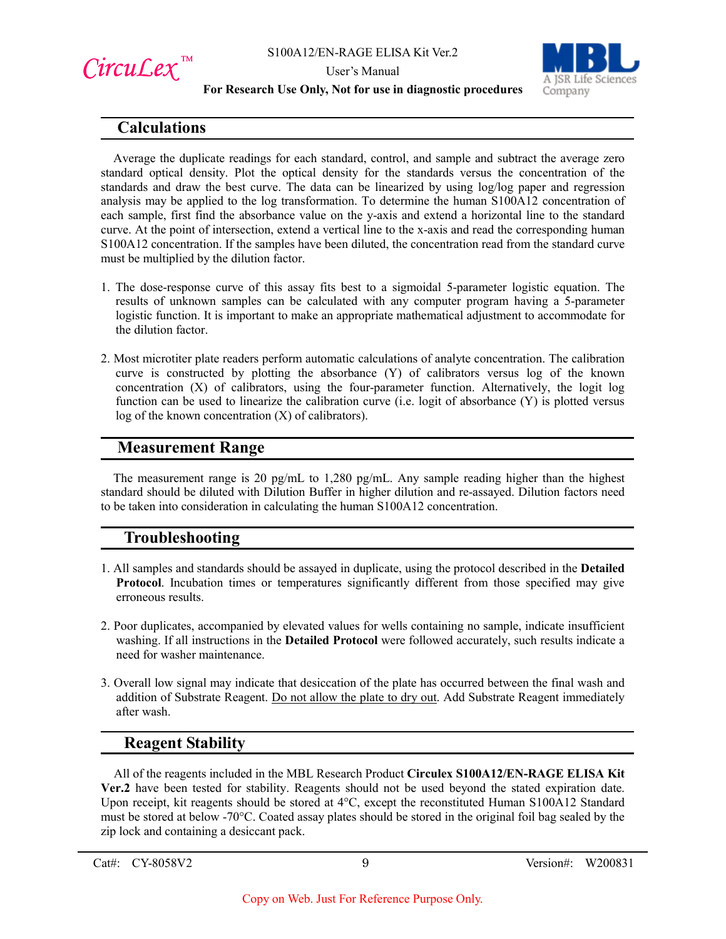





#### **For Research Use Only, Not for use in diagnostic procedures**

## **Calculations**

Average the duplicate readings for each standard, control, and sample and subtract the average zero standard optical density. Plot the optical density for the standards versus the concentration of the standards and draw the best curve. The data can be linearized by using log/log paper and regression analysis may be applied to the log transformation. To determine the human S100A12 concentration of each sample, first find the absorbance value on the y-axis and extend a horizontal line to the standard curve. At the point of intersection, extend a vertical line to the x-axis and read the corresponding human S100A12 concentration. If the samples have been diluted, the concentration read from the standard curve must be multiplied by the dilution factor.

- 1. The dose-response curve of this assay fits best to a sigmoidal 5-parameter logistic equation. The results of unknown samples can be calculated with any computer program having a 5-parameter logistic function. It is important to make an appropriate mathematical adjustment to accommodate for the dilution factor.
- 2. Most microtiter plate readers perform automatic calculations of analyte concentration. The calibration curve is constructed by plotting the absorbance (Y) of calibrators versus log of the known concentration (X) of calibrators, using the four-parameter function. Alternatively, the logit log function can be used to linearize the calibration curve (i.e. logit of absorbance (Y) is plotted versus log of the known concentration (X) of calibrators).

## **Measurement Range**

The measurement range is 20 pg/mL to 1,280 pg/mL. Any sample reading higher than the highest standard should be diluted with Dilution Buffer in higher dilution and re-assayed. Dilution factors need to be taken into consideration in calculating the human S100A12 concentration.

## **Troubleshooting**

- 1. All samples and standards should be assayed in duplicate, using the protocol described in the **Detailed Protocol**. Incubation times or temperatures significantly different from those specified may give erroneous results.
- 2. Poor duplicates, accompanied by elevated values for wells containing no sample, indicate insufficient washing. If all instructions in the **Detailed Protocol** were followed accurately, such results indicate a need for washer maintenance.
- 3. Overall low signal may indicate that desiccation of the plate has occurred between the final wash and addition of Substrate Reagent. Do not allow the plate to dry out. Add Substrate Reagent immediately after wash.

## **Reagent Stability**

All of the reagents included in the MBL Research Product **Circulex S100A12/EN-RAGE ELISA Kit Ver.2** have been tested for stability. Reagents should not be used beyond the stated expiration date. Upon receipt, kit reagents should be stored at 4°C, except the reconstituted Human S100A12 Standard must be stored at below -70°C. Coated assay plates should be stored in the original foil bag sealed by the zip lock and containing a desiccant pack.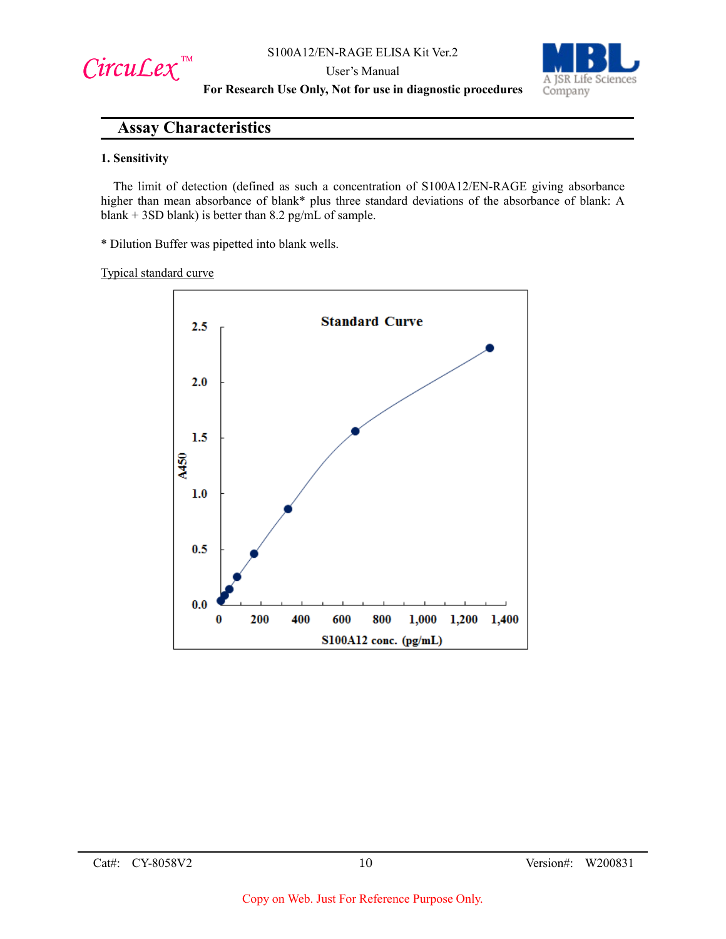



**For Research Use Only, Not for use in diagnostic procedures**

## **Assay Characteristics**

#### **1. Sensitivity**

The limit of detection (defined as such a concentration of S100A12/EN-RAGE giving absorbance higher than mean absorbance of blank\* plus three standard deviations of the absorbance of blank: A blank + 3SD blank) is better than 8.2 pg/mL of sample.

\* Dilution Buffer was pipetted into blank wells.

#### Typical standard curve

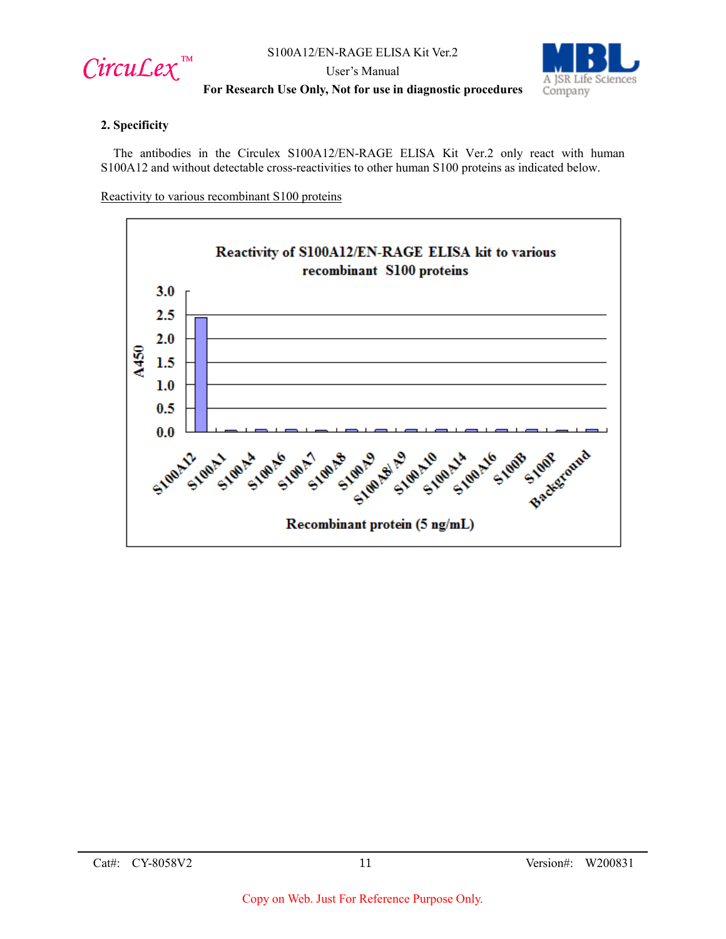

User's Manual



## **For Research Use Only, Not for use in diagnostic procedures**

#### **2. Specificity**

The antibodies in the Circulex S100A12/EN-RAGE ELISA Kit Ver.2 only react with human S100A12 and without detectable cross-reactivities to other human S100 proteins as indicated below.

Reactivity to various recombinant S100 proteins

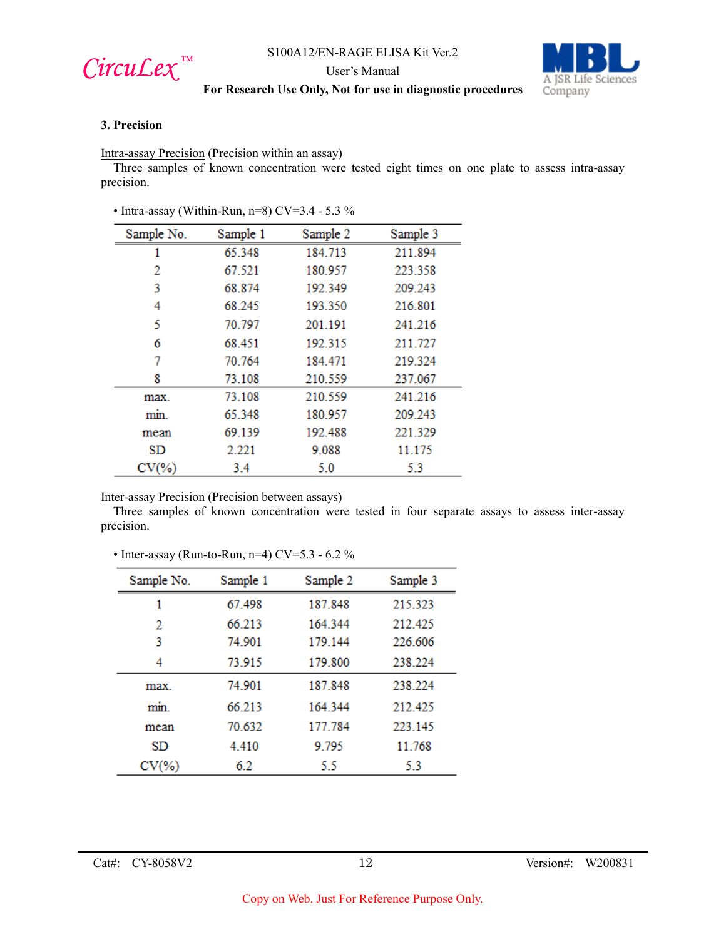

User's Manual



## **For Research Use Only, Not for use in diagnostic procedures**

#### **3. Precision**

Intra-assay Precision (Precision within an assay)

Three samples of known concentration were tested eight times on one plate to assess intra-assay precision.

• Intra-assay (Within-Run, n=8) CV=3.4 - 5.3 %

| Sample No. | Sample 1 | Sample 2 | Sample 3 |
|------------|----------|----------|----------|
|            | 65.348   | 184.713  | 211.894  |
| 2          | 67.521   | 180.957  | 223.358  |
| 3          | 68.874   | 192.349  | 209.243  |
| 4          | 68.245   | 193.350  | 216.801  |
| 5          | 70.797   | 201.191  | 241.216  |
| 6          | 68.451   | 192.315  | 211.727  |
| 7          | 70.764   | 184.471  | 219.324  |
| 8          | 73.108   | 210.559  | 237.067  |
| max.       | 73.108   | 210.559  | 241.216  |
| min.       | 65.348   | 180.957  | 209.243  |
| mean       | 69.139   | 192.488  | 221.329  |
| SD         | 2.221    | 9.088    | 11.175   |
| $CV(\% )$  | 3.4      | 5.0      | 5.3      |

Inter-assay Precision (Precision between assays)

Three samples of known concentration were tested in four separate assays to assess inter-assay precision.

#### • Inter-assay (Run-to-Run, n=4) CV=5.3 - 6.2 %

| Sample No. | Sample 1 | Sample 2 | Sample 3 |
|------------|----------|----------|----------|
| 1          | 67498    | 187.848  | 215.323  |
| 2          | 66.213   | 164.344  | 212.425  |
| 3          | 74.901   | 179.144  | 226,606  |
| 4          | 73.915   | 179.800  | 238.224  |
| max.       | 74.901   | 187.848  | 238.224  |
| min.       | 66 213   | 164.344  | 212.425  |
| mean       | 70.632   | 177.784  | 223.145  |
| SD         | 4.410    | 9.795    | 11.768   |
| $CV(\% )$  | 6.2      | 5.5      | 5.3      |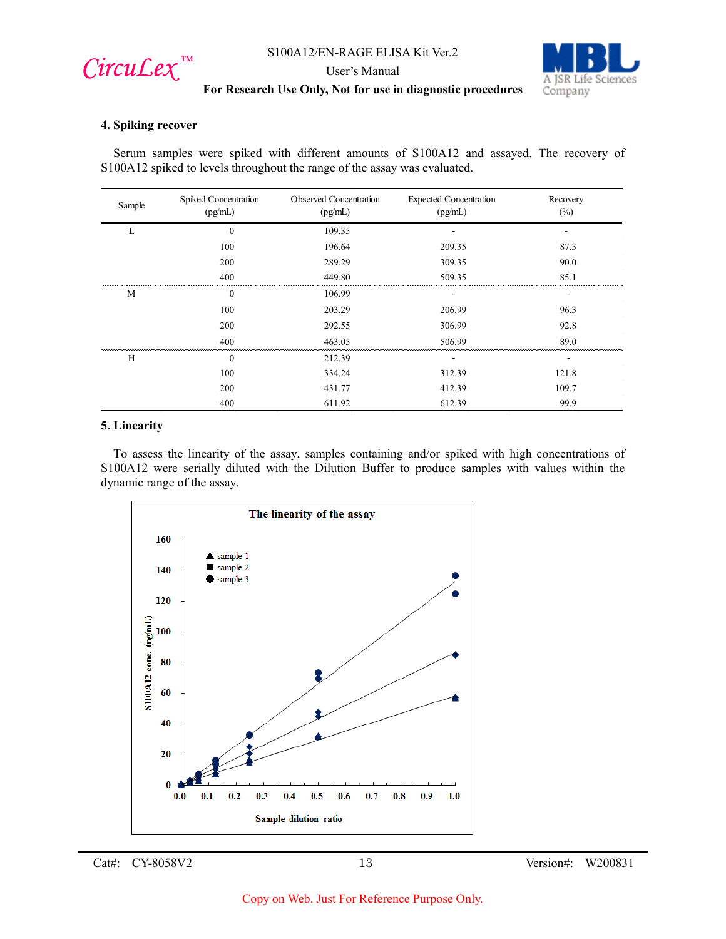

User's Manual



## **For Research Use Only, Not for use in diagnostic procedures**

#### **4. Spiking recover**

Serum samples were spiked with different amounts of S100A12 and assayed. The recovery of S100A12 spiked to levels throughout the range of the assay was evaluated.

| Sample | Spiked Concentration<br>(pg/mL) | Observed Concentration<br>(pg/mL) | <b>Expected Concentration</b><br>(pg/mL) | Recovery<br>$(\%)$ |
|--------|---------------------------------|-----------------------------------|------------------------------------------|--------------------|
| L      | $\theta$                        | 109.35                            |                                          |                    |
|        | 100                             | 196.64                            | 209.35                                   | 87.3               |
|        | 200                             | 289.29                            | 309.35                                   | 90.0               |
|        | 400                             | 449.80                            | 509.35                                   | 85.1               |
| M      | $\overline{0}$                  | 106.99                            |                                          |                    |
|        | 100                             | 203.29                            | 206.99                                   | 96.3               |
|        | 200                             | 292.55                            | 306.99                                   | 92.8               |
|        | 400                             | 463.05                            | 506.99                                   | 89.0               |
| H      | $\Omega$                        | 212.39                            |                                          |                    |
|        | 100                             | 334.24                            | 312.39                                   | 121.8              |
|        | 200                             | 431.77                            | 412.39                                   | 109.7              |
|        | 400                             | 611.92                            | 612.39                                   | 99.9               |

#### **5. Linearity**

To assess the linearity of the assay, samples containing and/or spiked with high concentrations of S100A12 were serially diluted with the Dilution Buffer to produce samples with values within the dynamic range of the assay.



Cat#: CY-8058V2 13 Version#: W200831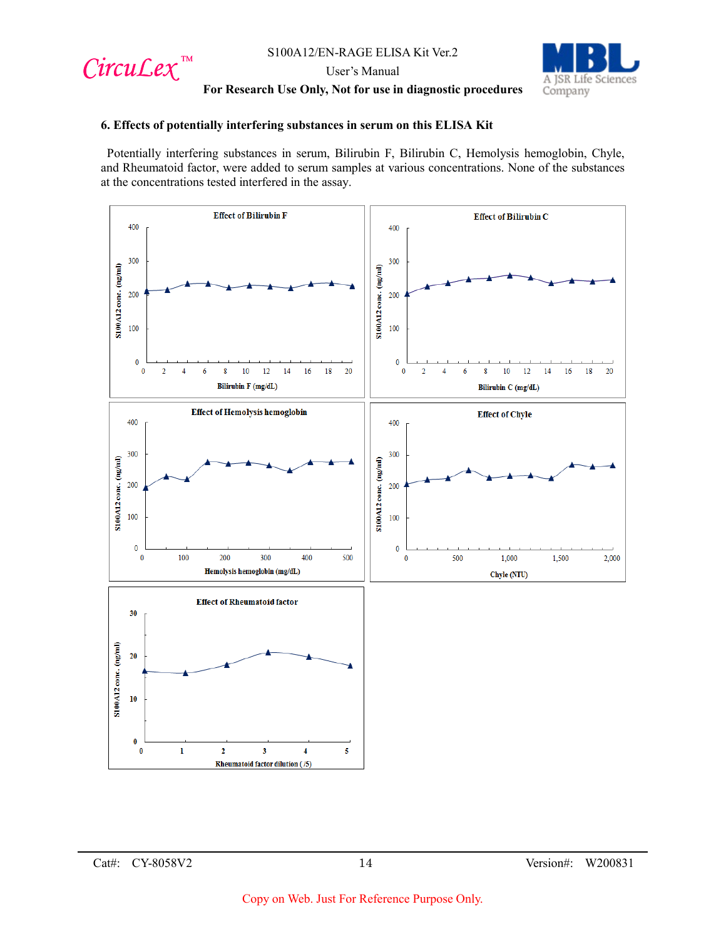

User's Manual



#### **For Research Use Only, Not for use in diagnostic procedures**

#### **6. Effects of potentially interfering substances in serum on this ELISA Kit**

Potentially interfering substances in serum, Bilirubin F, Bilirubin C, Hemolysis hemoglobin, Chyle, and Rheumatoid factor, were added to serum samples at various concentrations. None of the substances at the concentrations tested interfered in the assay.

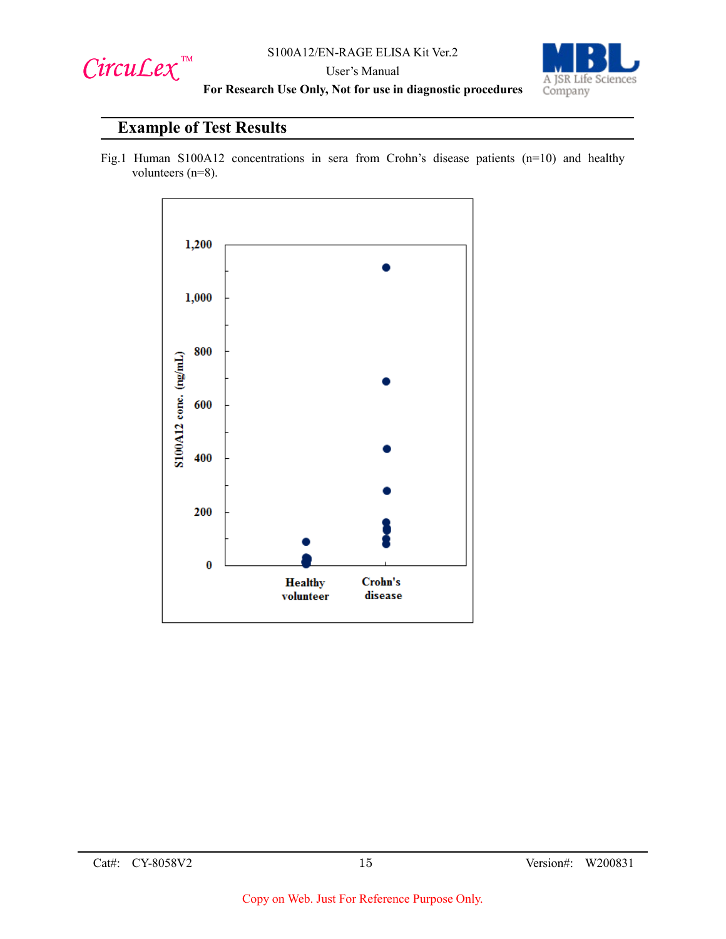

User's Manual



**For Research Use Only, Not for use in diagnostic procedures**

## **Example of Test Results**

Fig.1 Human S100A12 concentrations in sera from Crohn's disease patients (n=10) and healthy volunteers (n=8).